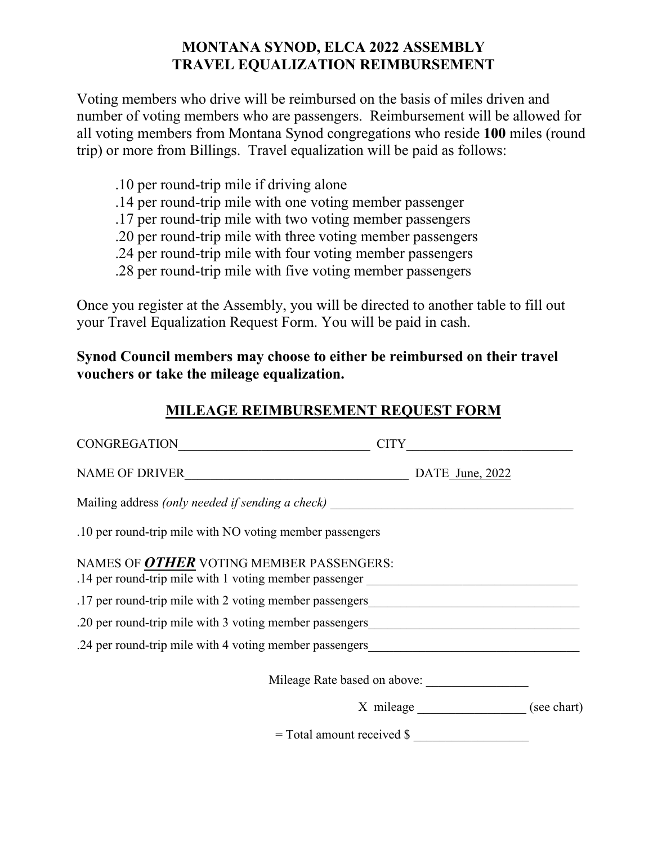## **MONTANA SYNOD, ELCA 2022 ASSEMBLY TRAVEL EQUALIZATION REIMBURSEMENT**

Voting members who drive will be reimbursed on the basis of miles driven and number of voting members who are passengers. Reimbursement will be allowed for all voting members from Montana Synod congregations who reside **100** miles (round trip) or more from Billings. Travel equalization will be paid as follows:

- .10 per round-trip mile if driving alone
- .14 per round-trip mile with one voting member passenger
- .17 per round-trip mile with two voting member passengers
- .20 per round-trip mile with three voting member passengers
- .24 per round-trip mile with four voting member passengers
- .28 per round-trip mile with five voting member passengers

Once you register at the Assembly, you will be directed to another table to fill out your Travel Equalization Request Form. You will be paid in cash.

**Synod Council members may choose to either be reimbursed on their travel vouchers or take the mileage equalization.** 

## **MILEAGE REIMBURSEMENT REQUEST FORM**

| CONGREGATION                                                                                       | <b>CITY</b>                  |
|----------------------------------------------------------------------------------------------------|------------------------------|
| NAME OF DRIVER                                                                                     | DATE June, 2022              |
| Mailing address (only needed if sending a check)                                                   |                              |
| .10 per round-trip mile with NO voting member passengers                                           |                              |
| NAMES OF OTHER VOTING MEMBER PASSENGERS:<br>.14 per round-trip mile with 1 voting member passenger |                              |
| .17 per round-trip mile with 2 voting member passengers                                            |                              |
| .20 per round-trip mile with 3 voting member passengers__________________________                  |                              |
| .24 per round-trip mile with 4 voting member passengers                                            |                              |
|                                                                                                    | Mileage Rate based on above: |
|                                                                                                    | X mileage (see chart)        |
|                                                                                                    | $=$ Total amount received \$ |